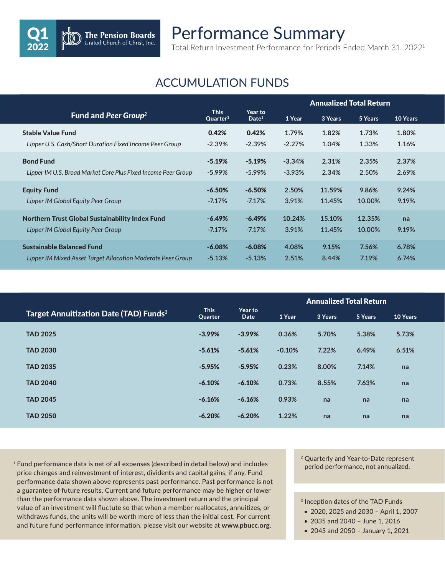## Performance Summary

Total Return Investment Performance for Periods Ended March 31, 20221

## ACCUMULATION FUNDS

Q1 2022

The Pension Boards<br>United Church of Christ, Inc.

|                                                               |                                     |                              | <b>Annualized Total Return</b> |         |         |                 |
|---------------------------------------------------------------|-------------------------------------|------------------------------|--------------------------------|---------|---------|-----------------|
| Fund and Peer Group <sup>2</sup>                              | <b>This</b><br>Quarter <sup>3</sup> | Year to<br>Date <sup>3</sup> | 1 Year                         | 3 Years | 5 Years | <b>10 Years</b> |
| <b>Stable Value Fund</b>                                      | 0.42%                               | 0.42%                        | 1.79%                          | 1.82%   | 1.73%   | 1.80%           |
| Lipper U.S. Cash/Short Duration Fixed Income Peer Group       | $-2.39%$                            | $-2.39%$                     | $-2.27%$                       | 1.04%   | 1.33%   | 1.16%           |
| <b>Bond Fund</b>                                              | $-5.19\%$                           | $-5.19%$                     | $-3.34%$                       | 2.31%   | 2.35%   | 2.37%           |
| Lipper IM U.S. Broad Market Core Plus Fixed Income Peer Group | $-5.99\%$                           | $-5.99\%$                    | $-3.93%$                       | 2.34%   | 2.50%   | 2.69%           |
| <b>Equity Fund</b>                                            | $-6.50\%$                           | $-6.50%$                     | 2.50%                          | 11.59%  | 9.86%   | 9.24%           |
| Lipper IM Global Equity Peer Group                            | $-7.17%$                            | $-7.17%$                     | 3.91%                          | 11.45%  | 10.00%  | 9.19%           |
| Northern Trust Global Sustainability Index Fund               | $-6.49\%$                           | $-6.49%$                     | 10.24%                         | 15.10%  | 12.35%  | na              |
| Lipper IM Global Equity Peer Group                            | $-7.17%$                            | $-7.17%$                     | 3.91%                          | 11.45%  | 10.00%  | 9.19%           |
| <b>Sustainable Balanced Fund</b>                              | $-6.08\%$                           | $-6.08\%$                    | 4.08%                          | 9.15%   | 7.56%   | 6.78%           |
| Lipper IM Mixed Asset Target Allocation Moderate Peer Group   | $-5.13%$                            | $-5.13%$                     | 2.51%                          | 8.44%   | 7.19%   | 6.74%           |

|                                                          |                        |                 | <b>Annualized Total Return</b> |         |         |                 |
|----------------------------------------------------------|------------------------|-----------------|--------------------------------|---------|---------|-----------------|
| <b>Target Annuitization Date (TAD) Funds<sup>3</sup></b> | <b>This</b><br>Quarter | Year to<br>Date | 1 Year                         | 3 Years | 5 Years | <b>10 Years</b> |
| <b>TAD 2025</b>                                          | $-3.99%$               | $-3.99%$        | 0.36%                          | 5.70%   | 5.38%   | 5.73%           |
| <b>TAD 2030</b>                                          | $-5.61%$               | $-5.61%$        | $-0.10%$                       | 7.22%   | 6.49%   | 6.51%           |
| <b>TAD 2035</b>                                          | $-5.95%$               | $-5.95%$        | 0.23%                          | 8.00%   | 7.14%   | na              |
| <b>TAD 2040</b>                                          | $-6.10%$               | $-6.10%$        | 0.73%                          | 8.55%   | 7.63%   | na              |
| <b>TAD 2045</b>                                          | $-6.16%$               | $-6.16%$        | 0.93%                          | na      | na      | na              |
| <b>TAD 2050</b>                                          | $-6.20%$               | $-6.20%$        | 1.22%                          | na      | na      | na              |

 $1$  Fund performance data is net of all expenses (described in detail below) and includes price changes and reinvestment of interest, dividents and capital gains, if any. Fund performance data shown above represents past performance. Past performance is not a guarantee of future results. Current and future performance may be higher or lower than the performance data shown above. The investment return and the principal value of an investment will fluctute so that when a member reallocates, annuitizes, or withdraws funds, the units will be worth more of less than the initial cost. For current and future fund performance information, please visit our website at **www.pbucc.org**.

<sup>2</sup> Quarterly and Year-to-Date represent period performance, not annualized.

<sup>3</sup> Inception dates of the TAD Funds

- 2020, 2025 and 2030 April 1, 2007
- 2035 and 2040 June 1, 2016
- 2045 and 2050 January 1, 2021